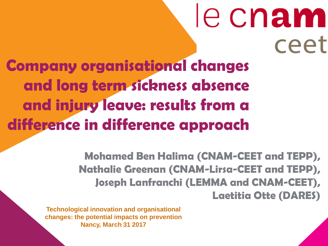# le cnam ceet **Company organisational changes and long term sickness absence and injury leave: results from a difference in difference approach**

Mohamed Ben Halima (CNAM-CEET and TEPP), Nathalie Greenan (CNAM-Lirsa-CEET and TEPP), Joseph Lanfranchi (LEMMA and CNAM-CEET), Laetitia Otte (DARES)

**Technological innovation and organisational changes: the potential impacts on prevention Nancy, March 31 2017**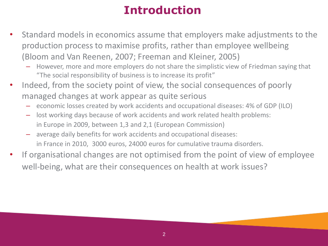### **Introduction**

- Standard models in economics assume that employers make adjustments to the production process to maximise profits, rather than employee wellbeing (Bloom and Van Reenen, 2007; Freeman and Kleiner, 2005)
	- However, more and more employers do not share the simplistic view of Friedman saying that "The social responsibility of business is to increase its profit"
- Indeed, from the society point of view, the social consequences of poorly managed changes at work appear as quite serious
	- economic losses created by work accidents and occupational diseases: 4% of GDP (ILO)
	- lost working days because of work accidents and work related health problems: in Europe in 2009, between 1,3 and 2,1 (European Commission)
	- average daily benefits for work accidents and occupational diseases: in France in 2010, 3000 euros, 24000 euros for cumulative trauma disorders.
- If organisational changes are not optimised from the point of view of employee well-being, what are their consequences on health at work issues?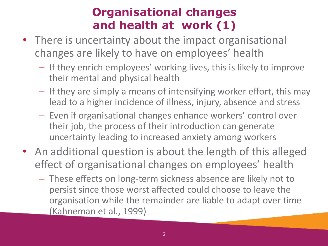### **Organisational changes and health at work (1)**

- There is uncertainty about the impact organisational changes are likely to have on employees' health
	- If they enrich employees' working lives, this is likely to improve their mental and physical health
	- If they are simply a means of intensifying worker effort, this may lead to a higher incidence of illness, injury, absence and stress
	- Even if organisational changes enhance workers' control over their job, the process of their introduction can generate uncertainty leading to increased anxiety among workers
- An additional question is about the length of this alleged effect of organisational changes on employees' health
	- These effects on long-term sickness absence are likely not to persist since those worst affected could choose to leave the organisation while the remainder are liable to adapt over time (Kahneman et al., 1999)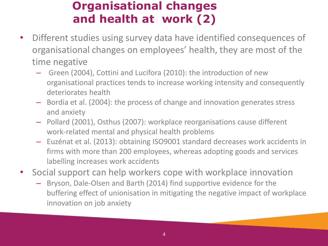### **Organisational changes and health at work (2)**

- Different studies using survey data have identified consequences of organisational changes on employees' health, they are most of the time negative
	- Green (2004), Cottini and Lucifora (2010): the introduction of new organisational practices tends to increase working intensity and consequently deteriorates health
	- Bordia et al. (2004): the process of change and innovation generates stress and anxiety
	- Pollard (2001), Osthus (2007): workplace reorganisations cause different work-related mental and physical health problems
	- Euzénat et al. (2013): obtaining ISO9001 standard decreases work accidents in firms with more than 200 employees, whereas adopting goods and services labelling increases work accidents
- Social support can help workers cope with workplace innovation
	- Bryson, Dale-Olsen and Barth (2014) find supportive evidence for the buffering effect of unionisation in mitigating the negative impact of workplace innovation on job anxiety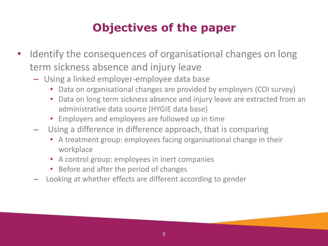### **Objectives of the paper**

- Identify the consequences of organisational changes on long term sickness absence and injury leave
	- Using a linked employer-employee data base
		- Data on organisational changes are provided by employers (COI survey)
		- Data on long term sickness absence and injury leave are extracted from an administrative data source (HYGIE data base)
		- Employers and employees are followed up in time
	- Using a difference in difference approach, that is comparing
		- A treatment group: employees facing organisational change in their workplace
		- A control group: employees in inert companies
		- Before and after the period of changes
	- Looking at whether effects are different according to gender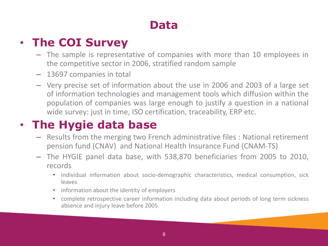### **Data**

### • **The COI Survey**

- The sample is representative of companies with more than 10 employees in the competitive sector in 2006, stratified random sample
- 13697 companies in total
- Very precise set of information about the use in 2006 and 2003 of a large set of information technologies and management tools which diffusion within the population of companies was large enough to justify a question in a national wide survey: just in time, ISO certification, traceability, ERP etc.

### • **The Hygie data base**

- Results from the merging two French administrative files : National retirement pension fund (CNAV) and National Health Insurance Fund (CNAM-TS)
- The HYGIE panel data base, with 538,870 beneficiaries from 2005 to 2010, records
	- individual information about socio-demographic characteristics, medical consumption, sick leaves
	- information about the identity of employers
	- complete retrospective career information including data about periods of long term sickness absence and injury leave before 2005.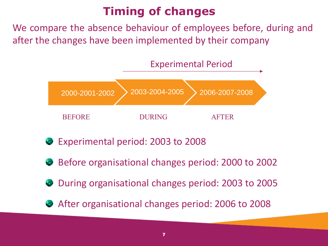### **Timing of changes**

We compare the absence behaviour of employees before, during and after the changes have been implemented by their company





- Experimental period: 2003 to 2008
- Before organisational changes period: 2000 to 2002
- During organisational changes period: 2003 to 2005
- After organisational changes period: 2006 to 2008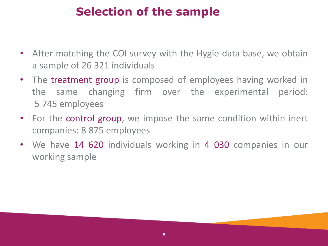### **Selection of the sample**

- After matching the COI survey with the Hygie data base, we obtain a sample of 26 321 individuals
- The treatment group is composed of employees having worked in the same changing firm over the experimental period: 5 745 employees
- For the control group, we impose the same condition within inert companies: 8 875 employees
- We have 14 620 individuals working in 4 030 companies in our working sample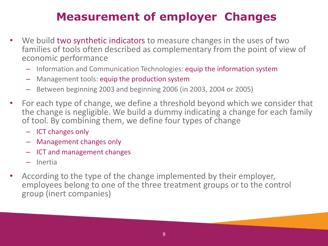### **Measurement of employer Changes**

- We build two synthetic indicators to measure changes in the uses of two families of tools often described as complementary from the point of view of economic performance
	- Information and Communication Technologies: equip the information system
	- Management tools: equip the production system
	- Between beginning 2003 and beginning 2006 (in 2003, 2004 or 2005)
- For each type of change, we define a threshold beyond which we consider that the change is negligible. We build a dummy indicating a change for each family of tool. By combining them, we define four types of change
	- ICT changes only
	- Management changes only
	- ICT and management changes
	- Inertia
- According to the type of the change implemented by their employer, employees belong to one of the three treatment groups or to the control group (inert companies)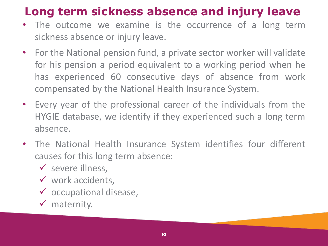### **Long term sickness absence and injury leave**

- The outcome we examine is the occurrence of a long term sickness absence or injury leave.
- For the National pension fund, a private sector worker will validate for his pension a period equivalent to a working period when he has experienced 60 consecutive days of absence from work compensated by the National Health Insurance System.
- Every year of the professional career of the individuals from the HYGIE database, we identify if they experienced such a long term absence.
- The National Health Insurance System identifies four different causes for this long term absence:
	- $\checkmark$  severe illness,
	- $\checkmark$  work accidents,
	- $\checkmark$  occupational disease,
	- $\checkmark$  maternity.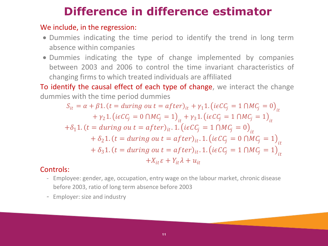### **Difference in difference estimator**

#### We include, in the regression:

- Dummies indicating the time period to identify the trend in long term absence within companies
- Dummies indicating the type of change implemented by companies between 2003 and 2006 to control the time invariant characteristics of changing firms to which treated individuals are affiliated

To identify the causal effect of each type of change, we interact the change dummies with the time period dummies

$$
S_{it} = \alpha + \beta 1. (t = during out = after)_{it} + \gamma_1 1. (ieC C_j = 1 \cap MC_j = 0)_{it}
$$
  
+  $\gamma_2 1. (ieC C_j = 0 \cap MC_j = 1)_{it} + \gamma_3 1. (ieC C_j = 1 \cap MC_j = 1)_{it}$   
+  $\delta_1 1. (t = during out = after)_{it}. 1. (ieC C_j = 1 \cap MC_j = 0)_{it}$   
+  $\delta_2 1. (t = during out = after)_{it}. 1. (ieC C_j = 0 \cap MC_j = 1)_{it}$   
+  $\delta_3 1. (t = during out = after)_{it}. 1. (ieC C_j = 1 \cap MC_j = 1)_{it}$   
+  $X_{it} \varepsilon + Y_{it} \lambda + u_{it}$ 

#### Controls:

- Employee: gender, age, occupation, entry wage on the labour market, chronic disease before 2003, ratio of long term absence before 2003
- Employer: size and industry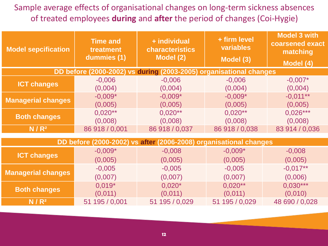#### Sample average effects of organisational changes on long-term sickness absences of treated employees **during** and **after** the period of changes (Coi-Hygie)

| <b>Model sepcification</b>                                         | <b>Time and</b><br>treatment<br>dummies (1) | + individual<br>characteristics<br>Model (2) | + firm level<br>variables<br>Model (3) | <b>Model 3 with</b><br>coarsened exact<br>matching<br>Model (4) |
|--------------------------------------------------------------------|---------------------------------------------|----------------------------------------------|----------------------------------------|-----------------------------------------------------------------|
| DD before (2000-2002) vs during (2003-2005) organisational changes |                                             |                                              |                                        |                                                                 |
| <b>ICT changes</b>                                                 | $-0,006$                                    | $-0,006$                                     | $-0,006$                               | $-0,007*$                                                       |
|                                                                    | (0,004)                                     | (0,004)                                      | (0,004)                                | (0,004)                                                         |
| <b>Managerial changes</b>                                          | $-0.009*$                                   | $-0,009*$                                    | $-0.009*$                              | $-0.011**$                                                      |
|                                                                    | (0,005)                                     | (0,005)                                      | (0,005)                                | (0,005)                                                         |
| <b>Both changes</b>                                                | $0.020**$                                   | $0,020**$                                    | $0,020**$                              | $0,026***$                                                      |
|                                                                    | (0,008)                                     | (0,008)                                      | (0,008)                                | (0,008)                                                         |
| $N/R^2$                                                            | 86 918 / 0,001                              | 86 918 / 0,037                               | 86 918 / 0,038                         | 83 914 / 0,036                                                  |
|                                                                    |                                             |                                              |                                        |                                                                 |

| DD before (2000-2002) vs after (2006-2008) organisational changes |                |                |                |                |
|-------------------------------------------------------------------|----------------|----------------|----------------|----------------|
| <b>ICT changes</b>                                                | $-0,009*$      | $-0,008$       | $-0,009*$      | $-0,008$       |
|                                                                   | (0,005)        | (0,005)        | (0,005)        | (0,005)        |
| <b>Managerial changes</b>                                         | $-0,005$       | $-0,005$       | $-0,005$       | $-0.017**$     |
|                                                                   | (0,007)        | (0,007)        | (0,007)        | (0,006)        |
| <b>Both changes</b>                                               | $0.019*$       | $0,020*$       | $0,020**$      | $0,030***$     |
|                                                                   | (0,011)        | (0,011)        | (0,011)        | (0,010)        |
| $N/R^2$                                                           | 51 195 / 0,001 | 51 195 / 0,029 | 51 195 / 0,029 | 48 690 / 0,028 |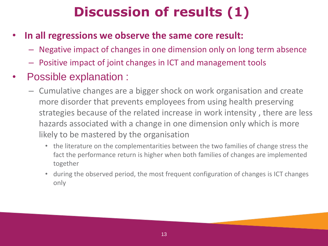# **Discussion of results (1)**

- **In all regressions we observe the same core result:**
	- Negative impact of changes in one dimension only on long term absence
	- Positive impact of joint changes in ICT and management tools
- Possible explanation :
	- Cumulative changes are a bigger shock on work organisation and create more disorder that prevents employees from using health preserving strategies because of the related increase in work intensity , there are less hazards associated with a change in one dimension only which is more likely to be mastered by the organisation
		- the literature on the complementarities between the two families of change stress the fact the performance return is higher when both families of changes are implemented together
		- during the observed period, the most frequent configuration of changes is ICT changes only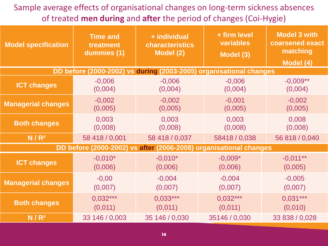Sample average effects of organisational changes on long-term sickness absences of treated **men during** and **after** the period of changes (Coi-Hygie)

| <b>Model specification</b>                                        | <b>Time and</b><br>treatment<br>dummies (1) | + individual<br>characteristics<br>Model (2)                       | + firm level<br>variables<br>Model (3) | <b>Model 3 with</b><br>coarsened exact<br>matching<br>Model (4) |
|-------------------------------------------------------------------|---------------------------------------------|--------------------------------------------------------------------|----------------------------------------|-----------------------------------------------------------------|
|                                                                   |                                             | DD before (2000-2002) vs during (2003-2005) organisational changes |                                        |                                                                 |
| <b>ICT changes</b>                                                | $-0,006$                                    | $-0,006$                                                           | $-0,006$                               | $-0,009**$                                                      |
|                                                                   | (0,004)                                     | (0,004)                                                            | (0,004)                                | (0,004)                                                         |
| <b>Managerial changes</b>                                         | $-0,002$                                    | $-0,002$                                                           | $-0,001$                               | $-0,002$                                                        |
|                                                                   | (0,005)                                     | (0,005)                                                            | (0,005)                                | (0,005)                                                         |
| <b>Both changes</b>                                               | 0,003                                       | 0,003                                                              | 0,003                                  | 0,008                                                           |
|                                                                   | (0,008)                                     | (0,008)                                                            | (0,008)                                | (0,008)                                                         |
| $N/R^2$                                                           | 58 418 / 0,001                              | 58 418 / 0,037                                                     | 58418 / 0,038                          | 56 818 / 0,040                                                  |
| DD before (2000-2002) vs after (2006-2008) organisational changes |                                             |                                                                    |                                        |                                                                 |
| <b>ICT changes</b>                                                | $-0.010*$                                   | $-0,010*$                                                          | $-0,009*$                              | $-0,011**$                                                      |
|                                                                   | (0,006)                                     | (0,006)                                                            | (0,006)                                | (0,005)                                                         |
| <b>Managerial changes</b>                                         | $-0,00$                                     | $-0,004$                                                           | $-0,004$                               | $-0,005$                                                        |
|                                                                   | (0,007)                                     | (0,007)                                                            | (0,007)                                | (0,007)                                                         |
| <b>Both changes</b>                                               | $0.032***$                                  | $0.033***$                                                         | $0.032***$                             | $0,031***$                                                      |
|                                                                   | (0,011)                                     | (0,011)                                                            | (0,011)                                | (0,010)                                                         |
| N/R <sup>2</sup>                                                  | 33 146 / 0,003                              | 35 146 / 0,030                                                     | 35146 / 0,030                          | 33 838 / 0,028                                                  |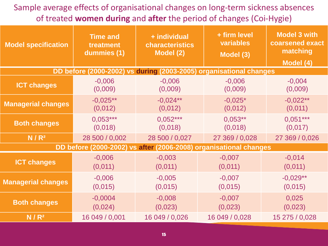Sample average effects of organisational changes on long-term sickness absences of treated **women during** and **after** the period of changes (Coi-Hygie)

| <b>Model specification</b>                                         | <b>Time and</b><br>treatment<br>dummies (1) | + individual<br>characteristics<br>Model (2) | + firm level<br>variables<br>Model (3) | <b>Model 3 with</b><br>coarsened exact<br>matching<br>Model (4) |
|--------------------------------------------------------------------|---------------------------------------------|----------------------------------------------|----------------------------------------|-----------------------------------------------------------------|
| DD before (2000-2002) vs during (2003-2005) organisational changes |                                             |                                              |                                        |                                                                 |
| <b>ICT changes</b>                                                 | $-0,006$<br>(0,009)                         | $-0,006$<br>(0,009)                          | $-0,006$<br>(0,009)                    | $-0,004$<br>(0,009)                                             |
| <b>Managerial changes</b>                                          | $-0.025**$<br>(0,012)                       | $-0.024**$<br>(0,012)                        | $-0.025*$<br>(0,012)                   | $-0,022**$<br>(0,011)                                           |
| <b>Both changes</b>                                                | $0.053***$<br>(0,018)                       | $0.052***$<br>(0,018)                        | $0.053**$<br>(0,018)                   | $0.051***$<br>(0,017)                                           |
| $N/R^2$                                                            | 28 500 / 0,002                              | 28 500 / 0,027                               | 27 369 / 0,028                         | 27 369 / 0,026                                                  |
| DD before (2000-2002) vs after (2006-2008) organisational changes  |                                             |                                              |                                        |                                                                 |
| <b>ICT changes</b>                                                 | $-0,006$<br>(0,011)                         | $-0,003$<br>(0,011)                          | $-0,007$<br>(0,011)                    | $-0,014$<br>(0,011)                                             |
| <b>Managerial changes</b>                                          | $-0,006$<br>(0,015)                         | $-0,005$<br>(0,015)                          | $-0,007$<br>(0,015)                    | $-0,029**$<br>(0,015)                                           |
| <b>Both changes</b>                                                | $-0,0004$<br>$-0,008$<br>(0,024)<br>(0,023) |                                              | $-0,007$<br>(0,023)                    | 0,025<br>(0,023)                                                |
| N/R <sup>2</sup>                                                   | 16 049 / 0,001                              | 16 049 / 0,026                               | 16 049 / 0,028                         | 15 275 / 0,028                                                  |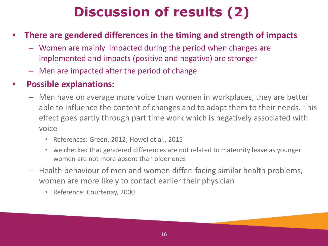# **Discussion of results (2)**

- **There are gendered differences in the timing and strength of impacts**
	- Women are mainly impacted during the period when changes are implemented and impacts (positive and negative) are stronger
	- Men are impacted after the period of change

### • **Possible explanations:**

- Men have on average more voice than women in workplaces, they are better able to influence the content of changes and to adapt them to their needs. This effect goes partly through part time work which is negatively associated with voice
	- References: Green, 2012; Howel et al., 2015
	- we checked that gendered differences are not related to maternity leave as younger women are not more absent than older ones
- Health behaviour of men and women differ: facing similar health problems, women are more likely to contact earlier their physician
	- Reference: Courtenay, 2000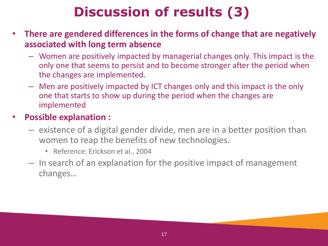# **Discussion of results (3)**

- **There are gendered differences in the forms of change that are negatively associated with long term absence**
	- Women are positively impacted by managerial changes only. This impact is the only one that seems to persist and to become stronger after the period when the changes are implemented.
	- Men are positively impacted by ICT changes only and this impact is the only one that starts to show up during the period when the changes are implemented

#### • **Possible explanation :**

- existence of a digital gender divide, men are in a better position than women to reap the benefits of new technologies.
	- Reference: Erickson et al., 2004
- In search of an explanation for the positive impact of management changes…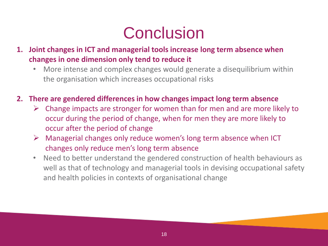# **Conclusion**

- **1. Joint changes in ICT and managerial tools increase long term absence when changes in one dimension only tend to reduce it**
	- More intense and complex changes would generate a disequilibrium within the organisation which increases occupational risks
- **2. There are gendered differences in how changes impact long term absence**
	- $\triangleright$  Change impacts are stronger for women than for men and are more likely to occur during the period of change, when for men they are more likely to occur after the period of change
	- $\triangleright$  Managerial changes only reduce women's long term absence when ICT changes only reduce men's long term absence
	- Need to better understand the gendered construction of health behaviours as well as that of technology and managerial tools in devising occupational safety and health policies in contexts of organisational change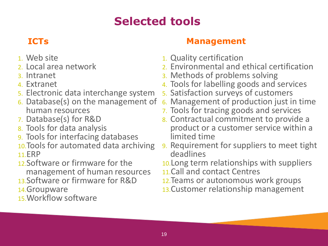### <sup>19</sup> **Selected tools**

- 1. Web site
- 2. Local area network
- 3. Intranet
- 4. Extranet
- 5. Electronic data interchange system
- 6. Database(s) on the management of human resources
- 7. Database(s) for R&D
- 8. Tools for data analysis
- 9. Tools for interfacing databases
- 10.Tools for automated data archiving 11.ERP
- 12.Software or firmware for the

management of human resources 13.Software or firmware for R&D

- 
- 14.Groupware
- 15.Workflow software

### **ICTs Management**

- 1. Quality certification
- 2. Environmental and ethical certification
- 3. Methods of problems solving
- 4. Tools for labelling goods and services
- 5. Satisfaction surveys of customers
- 6. Management of production just in time
- 7. Tools for tracing goods and services
- 8. Contractual commitment to provide a product or a customer service within a limited time
- 9. Requirement for suppliers to meet tight deadlines
- 10.Long term relationships with suppliers
- 11.Call and contact Centres
- 12.Teams or autonomous work groups
- 13.Customer relationship management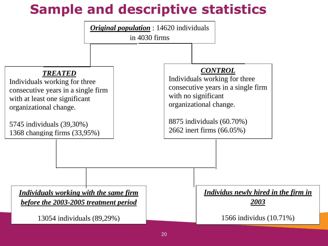## **Sample and descriptive statistics**

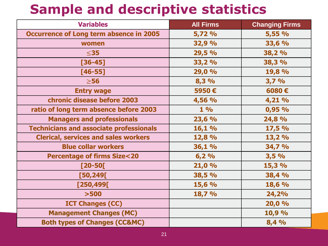## **Sample and descriptive statistics**

| <b>Variables</b>                               | <b>All Firms</b> | <b>Changing Firms</b> |
|------------------------------------------------|------------------|-----------------------|
| <b>Occurrence of Long term absence in 2005</b> | 5,72 %           | 5,55 %                |
| women                                          | 32,9 %           | 33,6 %                |
| $\leq$ 35                                      | 29,5 %           | 38,2 %                |
| $[36 - 45]$                                    | 33,2 %           | 38,3 %                |
| $[46 - 55]$                                    | 29,0 %           | 19,8 %                |
| $\geq$ 56                                      | 8,3%             | 3,7%                  |
| <b>Entry wage</b>                              | 5950€            | 6080€                 |
| chronic disease before 2003                    | 4,56 %           | 4,21 %                |
| ratio of long term absence before 2003         | 1%               | 0,95%                 |
| <b>Managers and professionals</b>              | 23,6 %           | 24,8 %                |
| <b>Technicians and associate professionals</b> | 16,1 %           | 17,5 %                |
| <b>Clerical, services and sales workers</b>    | 12,8 %           | 13,2%                 |
| <b>Blue collar workers</b>                     | 36,1 %           | 34,7 %                |
| <b>Percentage of firms Size&lt;20</b>          | 6,2%             | 3,5%                  |
| $[20 - 50]$                                    | 21,0%            | 15,3 %                |
| [50, 249]                                      | 38,5 %           | 38,4 %                |
| [250, 499]                                     | 15,6 %           | 18,6 %                |
| $>500$                                         | 18,7 %           | 24,2%                 |
| <b>ICT Changes (CC)</b>                        |                  | 20,0%                 |
| <b>Management Changes (MC)</b>                 |                  | 10,9 %                |
| <b>Both types of Changes (CC&amp;MC)</b>       |                  | 8,4 %                 |